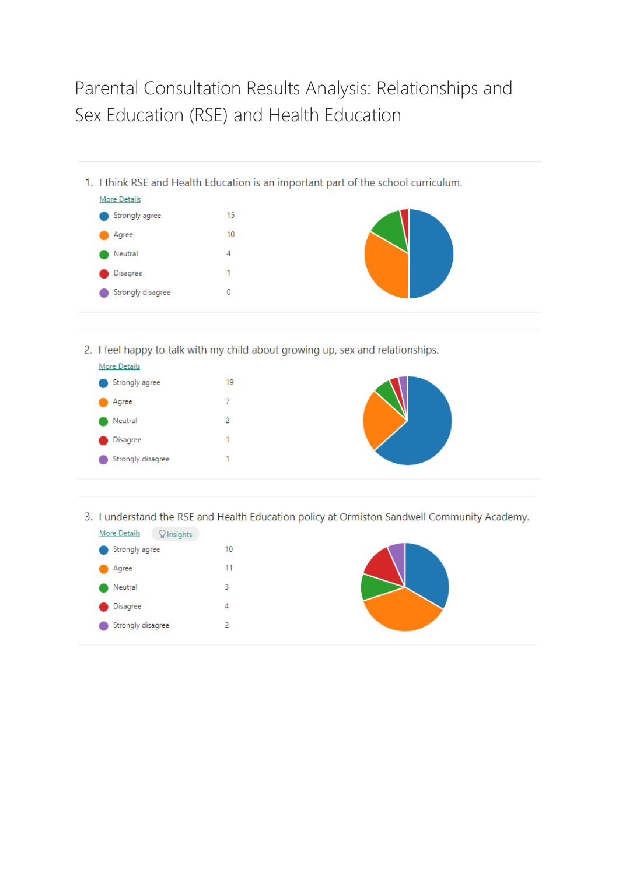Parental Consultation Results Analysis: Relationships and Sex Education (RSE) and Health Education

1. I think RSE and Health Education is an important part of the school curriculum.



2. I feel happy to talk with my child about growing up, sex and relationships.



3. I understand the RSE and Health Education policy at Ormiston Sandwell Community Academy.



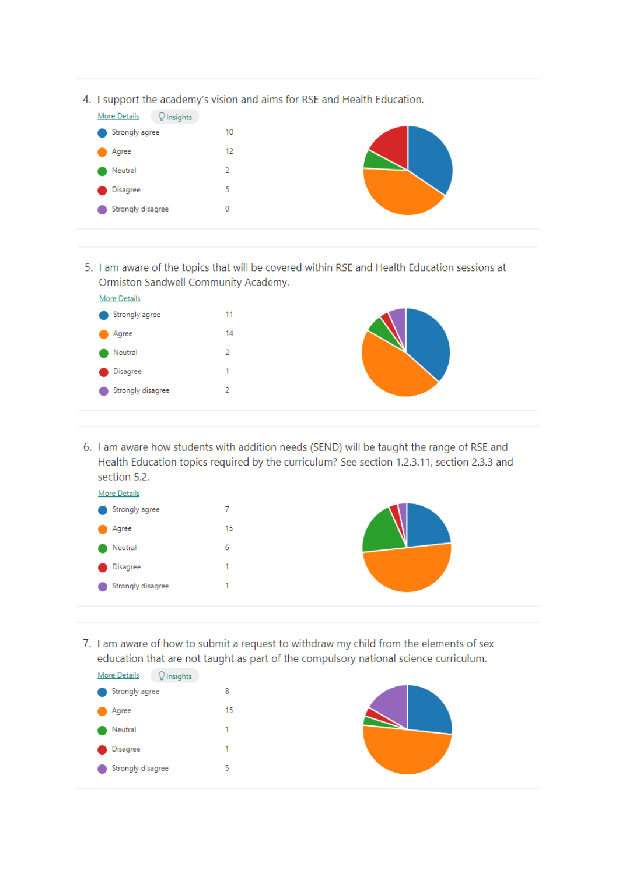4. I support the academy's vision and aims for RSE and Health Education.



5. I am aware of the topics that will be covered within RSE and Health Education sessions at Ormiston Sandwell Community Academy.

| More Details      |    |  |
|-------------------|----|--|
| Strongly agree    | 11 |  |
| Agree             | 14 |  |
| Neutral           | 2  |  |
| Disagree          | 1  |  |
| Strongly disagree | 2  |  |
|                   |    |  |

6. I am aware how students with addition needs (SEND) will be taught the range of RSE and Health Education topics required by the curriculum? See section 1.2.3.11, section 2.3.3 and section 5.2.



7. I am aware of how to submit a request to withdraw my child from the elements of sex education that are not taught as part of the compulsory national science curriculum.



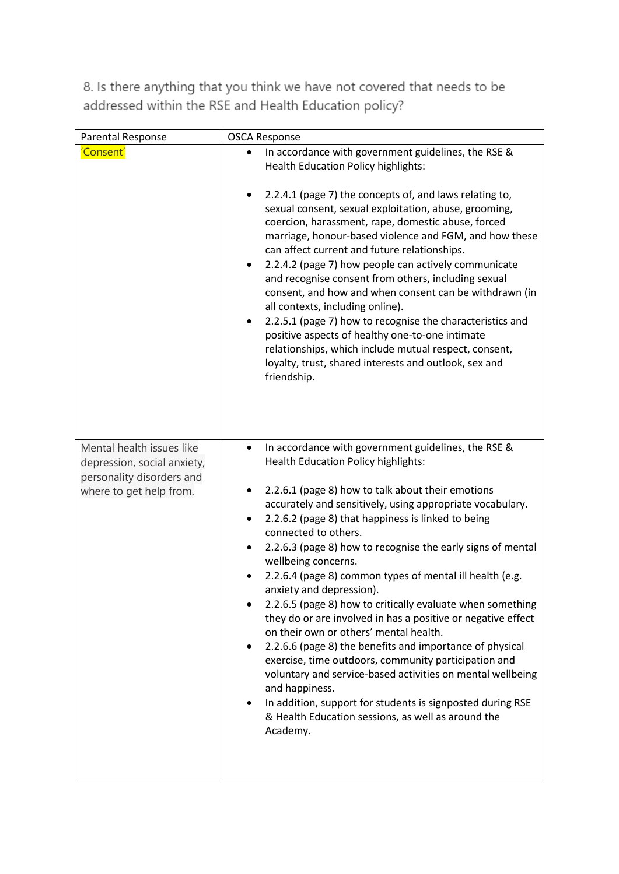8. Is there anything that you think we have not covered that needs to be addressed within the RSE and Health Education policy?

| Parental Response                                                                                                | <b>OSCA Response</b>                                                                                                                                                                                                                                                                                                                                                                                                                                                                                                                                                                                                                                                                                                                                                                                                                                                                                                                                                                                  |
|------------------------------------------------------------------------------------------------------------------|-------------------------------------------------------------------------------------------------------------------------------------------------------------------------------------------------------------------------------------------------------------------------------------------------------------------------------------------------------------------------------------------------------------------------------------------------------------------------------------------------------------------------------------------------------------------------------------------------------------------------------------------------------------------------------------------------------------------------------------------------------------------------------------------------------------------------------------------------------------------------------------------------------------------------------------------------------------------------------------------------------|
| 'Consent'                                                                                                        | In accordance with government guidelines, the RSE &<br><b>Health Education Policy highlights:</b><br>2.2.4.1 (page 7) the concepts of, and laws relating to,<br>sexual consent, sexual exploitation, abuse, grooming,<br>coercion, harassment, rape, domestic abuse, forced<br>marriage, honour-based violence and FGM, and how these<br>can affect current and future relationships.<br>2.2.4.2 (page 7) how people can actively communicate<br>and recognise consent from others, including sexual<br>consent, and how and when consent can be withdrawn (in<br>all contexts, including online).<br>2.2.5.1 (page 7) how to recognise the characteristics and<br>positive aspects of healthy one-to-one intimate<br>relationships, which include mutual respect, consent,<br>loyalty, trust, shared interests and outlook, sex and<br>friendship.                                                                                                                                                   |
| Mental health issues like<br>depression, social anxiety,<br>personality disorders and<br>where to get help from. | In accordance with government guidelines, the RSE &<br>٠<br><b>Health Education Policy highlights:</b><br>2.2.6.1 (page 8) how to talk about their emotions<br>accurately and sensitively, using appropriate vocabulary.<br>2.2.6.2 (page 8) that happiness is linked to being<br>connected to others.<br>2.2.6.3 (page 8) how to recognise the early signs of mental<br>wellbeing concerns.<br>2.2.6.4 (page 8) common types of mental ill health (e.g.<br>anxiety and depression).<br>2.2.6.5 (page 8) how to critically evaluate when something<br>they do or are involved in has a positive or negative effect<br>on their own or others' mental health.<br>2.2.6.6 (page 8) the benefits and importance of physical<br>exercise, time outdoors, community participation and<br>voluntary and service-based activities on mental wellbeing<br>and happiness.<br>In addition, support for students is signposted during RSE<br>٠<br>& Health Education sessions, as well as around the<br>Academy. |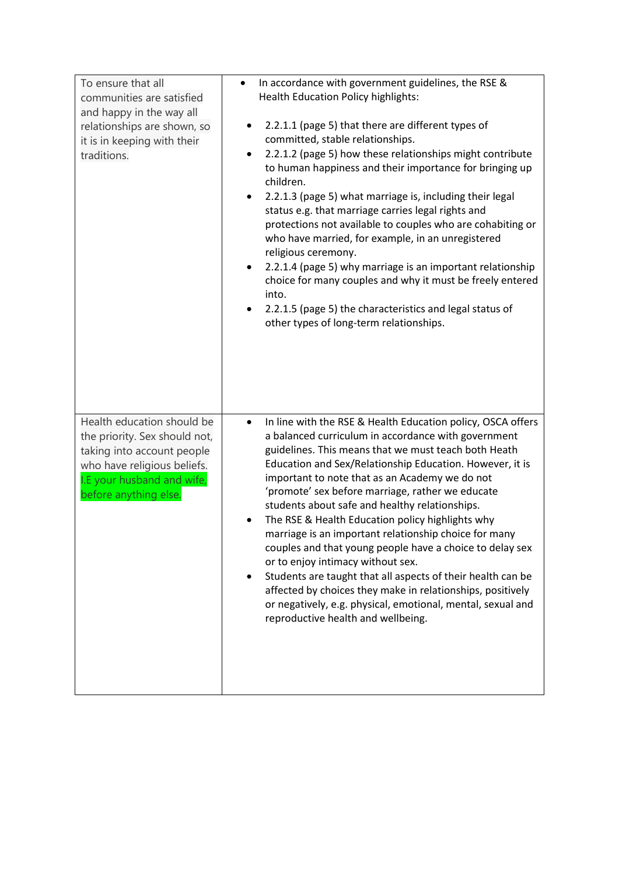| To ensure that all<br>communities are satisfied<br>and happy in the way all<br>relationships are shown, so<br>it is in keeping with their<br>traditions.                        | In accordance with government guidelines, the RSE &<br>٠<br><b>Health Education Policy highlights:</b><br>2.2.1.1 (page 5) that there are different types of<br>committed, stable relationships.<br>2.2.1.2 (page 5) how these relationships might contribute<br>to human happiness and their importance for bringing up<br>children.<br>2.2.1.3 (page 5) what marriage is, including their legal<br>status e.g. that marriage carries legal rights and<br>protections not available to couples who are cohabiting or<br>who have married, for example, in an unregistered<br>religious ceremony.<br>2.2.1.4 (page 5) why marriage is an important relationship<br>choice for many couples and why it must be freely entered<br>into.<br>2.2.1.5 (page 5) the characteristics and legal status of<br>other types of long-term relationships.   |
|---------------------------------------------------------------------------------------------------------------------------------------------------------------------------------|------------------------------------------------------------------------------------------------------------------------------------------------------------------------------------------------------------------------------------------------------------------------------------------------------------------------------------------------------------------------------------------------------------------------------------------------------------------------------------------------------------------------------------------------------------------------------------------------------------------------------------------------------------------------------------------------------------------------------------------------------------------------------------------------------------------------------------------------|
| Health education should be<br>the priority. Sex should not,<br>taking into account people<br>who have religious beliefs.<br>I.E your husband and wife,<br>before anything else. | In line with the RSE & Health Education policy, OSCA offers<br>a balanced curriculum in accordance with government<br>guidelines. This means that we must teach both Heath<br>Education and Sex/Relationship Education. However, it is<br>important to note that as an Academy we do not<br>'promote' sex before marriage, rather we educate<br>students about safe and healthy relationships.<br>The RSE & Health Education policy highlights why<br>marriage is an important relationship choice for many<br>couples and that young people have a choice to delay sex<br>or to enjoy intimacy without sex.<br>Students are taught that all aspects of their health can be<br>affected by choices they make in relationships, positively<br>or negatively, e.g. physical, emotional, mental, sexual and<br>reproductive health and wellbeing. |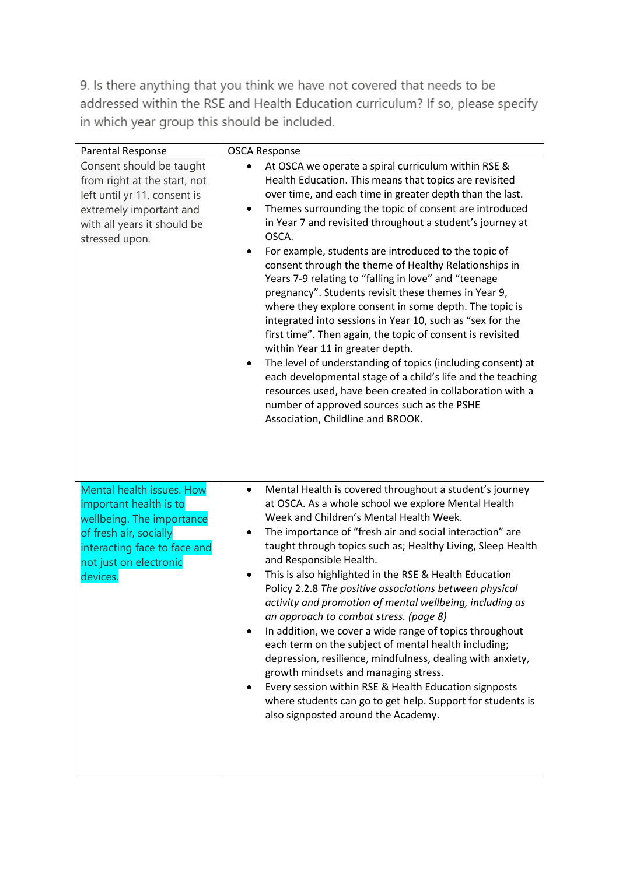9. Is there anything that you think we have not covered that needs to be addressed within the RSE and Health Education curriculum? If so, please specify in which year group this should be included.

| Parental Response                                                                                                                                                                | <b>OSCA Response</b>                                                                                                                                                                                                                                                                                                                                                                                                                                                                                                                                                                                                                                                                                                                                                                                                                                                                                                                                                                                                                                    |
|----------------------------------------------------------------------------------------------------------------------------------------------------------------------------------|---------------------------------------------------------------------------------------------------------------------------------------------------------------------------------------------------------------------------------------------------------------------------------------------------------------------------------------------------------------------------------------------------------------------------------------------------------------------------------------------------------------------------------------------------------------------------------------------------------------------------------------------------------------------------------------------------------------------------------------------------------------------------------------------------------------------------------------------------------------------------------------------------------------------------------------------------------------------------------------------------------------------------------------------------------|
| Consent should be taught<br>from right at the start, not<br>left until yr 11, consent is<br>extremely important and<br>with all years it should be<br>stressed upon.             | At OSCA we operate a spiral curriculum within RSE &<br>Health Education. This means that topics are revisited<br>over time, and each time in greater depth than the last.<br>Themes surrounding the topic of consent are introduced<br>٠<br>in Year 7 and revisited throughout a student's journey at<br>OSCA.<br>For example, students are introduced to the topic of<br>consent through the theme of Healthy Relationships in<br>Years 7-9 relating to "falling in love" and "teenage<br>pregnancy". Students revisit these themes in Year 9,<br>where they explore consent in some depth. The topic is<br>integrated into sessions in Year 10, such as "sex for the<br>first time". Then again, the topic of consent is revisited<br>within Year 11 in greater depth.<br>The level of understanding of topics (including consent) at<br>each developmental stage of a child's life and the teaching<br>resources used, have been created in collaboration with a<br>number of approved sources such as the PSHE<br>Association, Childline and BROOK. |
| Mental health issues. How<br>important health is to<br>wellbeing. The importance<br>of fresh air, socially<br>interacting face to face and<br>not just on electronic<br>devices. | Mental Health is covered throughout a student's journey<br>at OSCA. As a whole school we explore Mental Health<br>Week and Children's Mental Health Week.<br>The importance of "fresh air and social interaction" are<br>taught through topics such as; Healthy Living, Sleep Health<br>and Responsible Health.<br>This is also highlighted in the RSE & Health Education<br>Policy 2.2.8 The positive associations between physical<br>activity and promotion of mental wellbeing, including as<br>an approach to combat stress. (page 8)<br>In addition, we cover a wide range of topics throughout<br>each term on the subject of mental health including;<br>depression, resilience, mindfulness, dealing with anxiety,<br>growth mindsets and managing stress.<br>Every session within RSE & Health Education signposts<br>where students can go to get help. Support for students is<br>also signposted around the Academy.                                                                                                                       |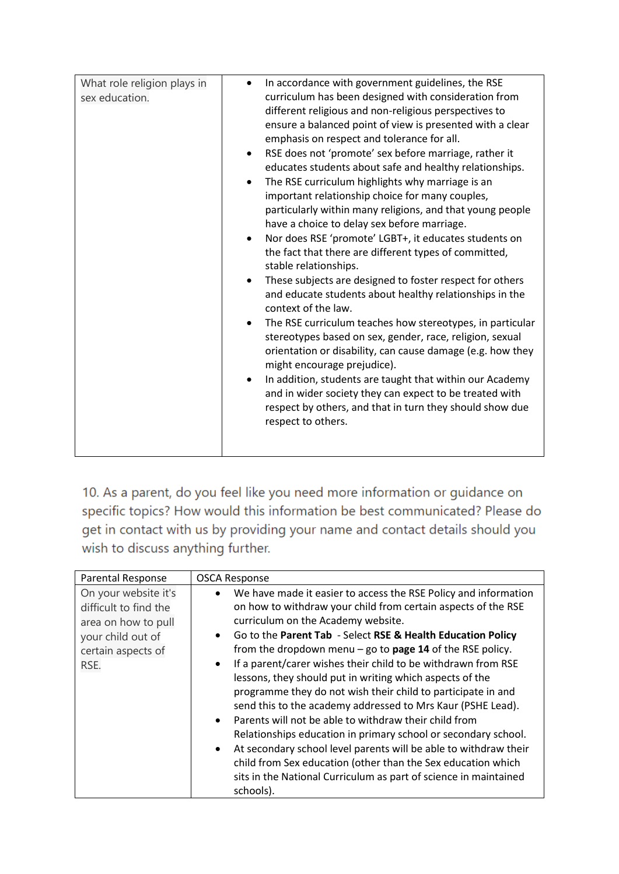10. As a parent, do you feel like you need more information or guidance on specific topics? How would this information be best communicated? Please do get in contact with us by providing your name and contact details should you wish to discuss anything further.

| Parental Response                                                                                                       | <b>OSCA Response</b>                                                                                                                                                                                                                                                                                                                                                                                                                                                                                                                                                                                                                                                                                                                                                                                                                                                                                           |  |
|-------------------------------------------------------------------------------------------------------------------------|----------------------------------------------------------------------------------------------------------------------------------------------------------------------------------------------------------------------------------------------------------------------------------------------------------------------------------------------------------------------------------------------------------------------------------------------------------------------------------------------------------------------------------------------------------------------------------------------------------------------------------------------------------------------------------------------------------------------------------------------------------------------------------------------------------------------------------------------------------------------------------------------------------------|--|
| On your website it's<br>difficult to find the<br>area on how to pull<br>your child out of<br>certain aspects of<br>RSE. | We have made it easier to access the RSE Policy and information<br>on how to withdraw your child from certain aspects of the RSE<br>curriculum on the Academy website.<br>Go to the Parent Tab - Select RSE & Health Education Policy<br>from the dropdown menu – go to page 14 of the RSE policy.<br>If a parent/carer wishes their child to be withdrawn from RSE<br>lessons, they should put in writing which aspects of the<br>programme they do not wish their child to participate in and<br>send this to the academy addressed to Mrs Kaur (PSHE Lead).<br>Parents will not be able to withdraw their child from<br>Relationships education in primary school or secondary school.<br>At secondary school level parents will be able to withdraw their<br>child from Sex education (other than the Sex education which<br>sits in the National Curriculum as part of science in maintained<br>schools). |  |